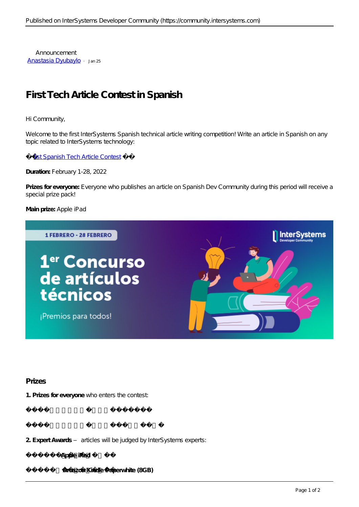Announcement [Anastasia Dyubaylo](https://community.intersystems.com/user/anastasia-dyubaylo) · Jan 25

## **First Tech Article Contest in Spanish**

Hi Community,

Welcome to the first InterSystems Spanish technical article writing competition! Write an article in Spanish on any topic related to InterSystems technology:

[1st Spanish Tech Article Contest](https://es.community.intersystems.com/contests/1)

**Duration:** February 1-28, 2022

**Prizes for everyone:** Everyone who publishes an article on Spanish Dev Community during this period will receive a special prize pack!

**Main prize:** Apple iPad



## **Prizes**

**1. Prizes for everyone** who enters the contest:

InterSystems hoody

InterSystems sticker

**2. Expert Awards** – articles will be judged by InterSystems experts:

1st plac**<sub>@pple</sub> iPad** 

2nd plac<sup>a</sup>mazon Kindle Paperwhite (8GB)